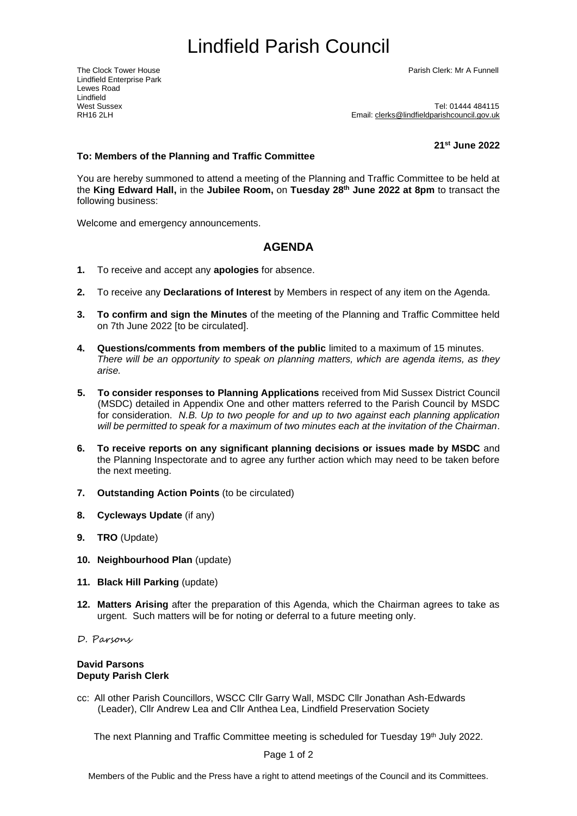Lindfield Enterprise Park Lewes Road Lindfield<br>West Sussex

The Clock Tower House Parish Clerk: Mr A Funnell

West Sussex<br>RH16 2l H<br>RH16 2l H Email: clerks@lindfieldparishcouncil.gov.uk

<span id="page-0-0"></span>**21 st June 2022**

## **To: Members of the Planning and Traffic Committee**

You are hereby summoned to attend a meeting of the Planning and Traffic Committee to be held at the **King Edward Hall,** in the **Jubilee Room,** on **Tuesday 28th June 2022 at 8pm** to transact the following business:

Welcome and emergency announcements.

## **AGENDA**

- **1.** To receive and accept any **apologies** for absence.
- **2.** To receive any **Declarations of Interest** by Members in respect of any item on the Agenda.
- **3. To confirm and sign the Minutes** of the meeting of the Planning and Traffic Committee held on 7th June 2022 [to be circulated].
- **4. Questions/comments from members of the public** limited to a maximum of 15 minutes. *There will be an opportunity to speak on planning matters, which are agenda items, as they arise.*
- **5. To consider responses to Planning Applications** received from Mid Sussex District Council (MSDC) detailed in Appendix One and other matters referred to the Parish Council by MSDC for consideration. *N.B. Up to two people for and up to two against each planning application will be permitted to speak for a maximum of two minutes each at the invitation of the Chairman*.
- **6. To receive reports on any significant planning decisions or issues made by MSDC** and the Planning Inspectorate and to agree any further action which may need to be taken before the next meeting.
- **7. Outstanding Action Points** (to be circulated)
- **8. Cycleways Update** (if any)
- **9. TRO** (Update)
- **10. Neighbourhood Plan** (update)
- **11. Black Hill Parking** (update)
- **12. Matters Arising** after the preparation of this Agenda, which the Chairman agrees to take as urgent. Such matters will be for noting or deferral to a future meeting only.
- D. Parsons

## **David Parsons Deputy Parish Clerk**

cc: All other Parish Councillors, WSCC Cllr Garry Wall, MSDC Cllr Jonathan Ash-Edwards (Leader), Cllr Andrew Lea and Cllr Anthea Lea, Lindfield Preservation Society

The next Planning and Traffic Committee meeting is scheduled for Tuesday 19<sup>th</sup> July 2022.

Page 1 of 2

Members of the Public and the Press have a right to attend meetings of the Council and its Committees.